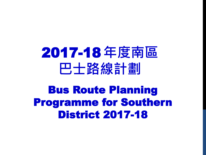# 2017-18 年度南區 巴士路線計劃

Bus Route Planning Programme for Southern District 2017-18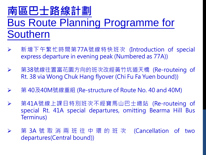### 南區巴士路線計劃 Bus Route Planning Programme for Southern

- 新增下午繁忙時間第77A號線特快班次 (Introduction of special express departure in evening peak (Numbered as 77A))
- 第38號線往置富花園方向的班次改經黃竹坑道天橋 (Re-routeing of Rt. 38 via Wong Chuk Hang flyover (Chi Fu Fa Yuen bound))
- 第 40及40M號線重組 (Re-structure of Route No. 40 and 40M)
- 第41A號線上課日特別班次不經寶馬山巴士總站 (Re-routeing of special Rt. 41A special departures, omitting Bearma Hill Bus Terminus)
- ▶ 第 3A 號 取 消 兩 班 往 中 環 的 班 次 (Cancellation of two departures(Central bound))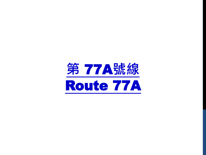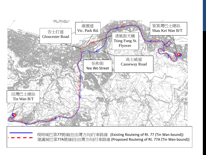

 現時城巴第77號線(往田灣方向)行車路線 (Existing Routeing of Rt. 77 (Tin Wan bound)) 建議城巴第77A號線(往田灣方向)行車路線 (Proposed Routeing of Rt. 77A (Tin Wan bound))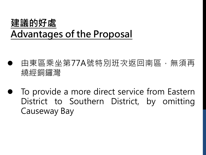### 建議的好處 Advantages of the Proposal

- 由東區乘坐第77A號特別班次返回南區, 無須再 繞經銅鑼灣
- To provide a more direct service from Eastern District to Southern District, by omitting Causeway Bay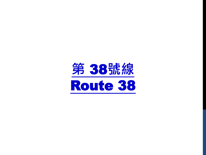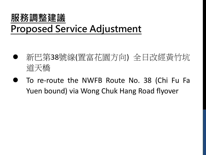#### 服務調整建議

#### Proposed Service Adjustment

- 新巴第38號線(置富花園方向) 全日改經黃竹坑 道天橋
- To re-route the NWFB Route No. 38 (Chi Fu Fa Yuen bound) via Wong Chuk Hang Road flyover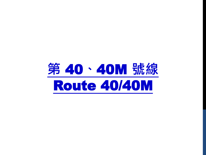## 第 40、40M 號線 Route 40/40M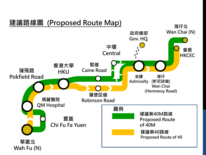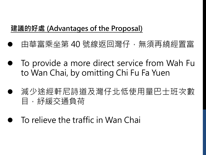#### 建議的好處 (Advantages of the Proposal)

- 由華富乘坐第 40 號線返回灣仔,無須再繞經置富
- To provide a more direct service from Wah Fu to Wan Chai, by omitting Chi Fu Fa Yuen
- 減少途經軒尼詩道及灣仔北低使用量巴士班次數 目,紓緩交通負荷
- To relieve the traffic in Wan Chai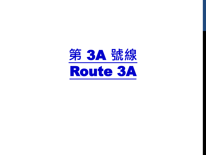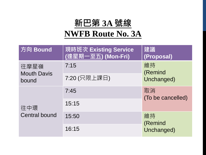#### 新巴第 **3A** 號線 **NWFB Route No. 3A**

| 方向 Bound                            | 現時班次 Existing Service<br>(逢星期一至五) (Mon-Fri) | 建議<br>(Proposal)            |
|-------------------------------------|---------------------------------------------|-----------------------------|
| 往摩星嶺<br><b>Mouth Davis</b><br>bound | 7:15                                        | 維持<br>(Remind<br>Unchanged) |
|                                     | 7:20 (只限上課日)                                |                             |
| 往中環<br><b>Central bound</b>         | 7:45                                        | 取消<br>(To be cancelled)     |
|                                     | 15:15                                       |                             |
|                                     | 15:50                                       | 維持<br>(Remind<br>Unchanged) |
|                                     | 16:15                                       |                             |